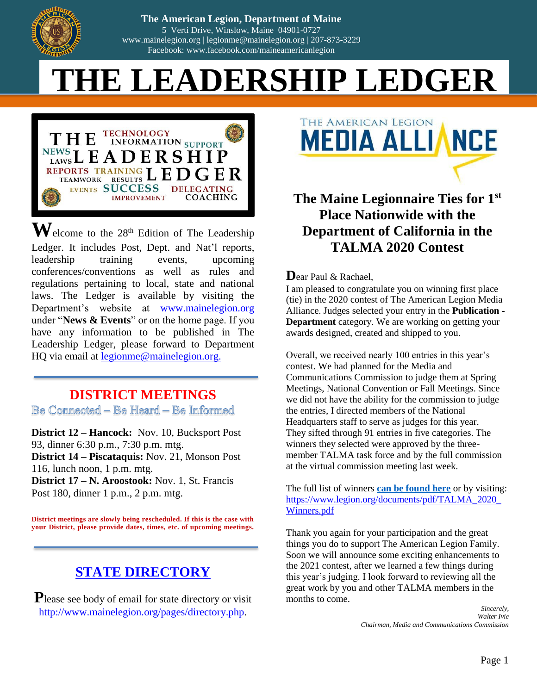

| 207-873-3229 **The American Legion, Dep The American Legion, Department of Maine Failet Ican Legion, Department of Maine**<br>5 Verti Drive, Winslow, Maine 04901-0727 [www.mainelegion.org](http://www.mainelegion.org/) | [legionme@mainelegion.org](mailto:legionme@mainelegion.org) | 207-873-3229 Facebook: www.facebook.com/maineamericanlegion

# **THE LEADERSHIP LEDGER**



 $\mathbf{W}$ elcome to the 28<sup>th</sup> Edition of The Leadership Ledger. It includes Post, Dept. and Nat'l reports, leadership training events, upcoming conferences/conventions as well as rules and regulations pertaining to local, state and national laws. The Ledger is available by visiting the Department's website at [www.mainelegion.org](http://www.mainelegion.org/) under "**News & Events**" or on the home page. If you have any information to be published in The Leadership Ledger, please forward to Department HQ via email at [legionme@mainelegion.org.](mailto:legionme@mainelegion.org)

#### **DISTRICT MEETINGS**

Be Connected - Be Heard - Be Informed

**District 12 – Hancock:** Nov. 10, Bucksport Post 93, dinner 6:30 p.m., 7:30 p.m. mtg. **District 14 – Piscataquis:** Nov. 21, Monson Post 116, lunch noon, 1 p.m. mtg. **District 17 – N. Aroostook:** Nov. 1, St. Francis Post 180, dinner 1 p.m., 2 p.m. mtg.

**District meetings are slowly being rescheduled. If this is the case with your District, please provide dates, times, etc. of upcoming meetings.**

## **[STATE DIRECTORY](http://www.mainelegion.org/pages/directory.php)**

Please see body of email for state directory or visit [http://www.mainelegion.org/pages/directory.php.](http://www.mainelegion.org/pages/directory.php)



#### **The Maine Legionnaire Ties for 1st Place Nationwide with the Department of California in the TALMA 2020 Contest**

Dear Paul & Rachael,

I am pleased to congratulate you on winning first place (tie) in the 2020 contest of The American Legion Media Alliance. Judges selected your entry in the **Publication - Department** category. We are working on getting your awards designed, created and shipped to you.

Overall, we received nearly 100 entries in this year's contest. We had planned for the Media and Communications Commission to judge them at Spring Meetings, National Convention or Fall Meetings. Since we did not have the ability for the commission to judge the entries, I directed members of the National Headquarters staff to serve as judges for this year. They sifted through 91 entries in five categories. The winners they selected were approved by the threemember TALMA task force and by the full commission at the virtual commission meeting last week.

The full list of winners **[can be found here](https://www.legion.org/documents/pdf/TALMA_2020_Winners.pdf)** or by visiting: [https://www.legion.org/documents/pdf/TALMA\\_2020\\_](https://www.legion.org/documents/pdf/TALMA_2020_Winners.pdf) [Winners.pdf](https://www.legion.org/documents/pdf/TALMA_2020_Winners.pdf)

Thank you again for your participation and the great things you do to support The American Legion Family. Soon we will announce some exciting enhancements to the 2021 contest, after we learned a few things during this year's judging. I look forward to reviewing all the great work by you and other TALMA members in the months to come.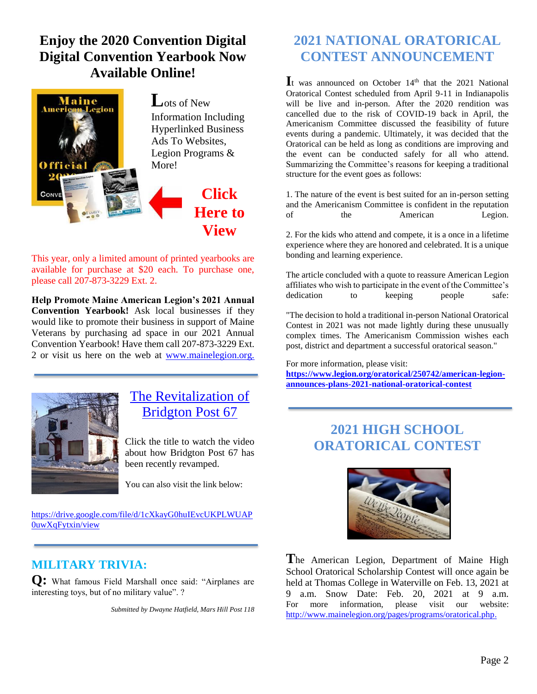## **Enjoy [the 2020 Convention Digital](https://indd.adobe.com/view/b6c6c128-5712-4eaa-85fc-030f59fd34de)  [Digital Convention Yearbook Now](https://indd.adobe.com/view/b6c6c128-5712-4eaa-85fc-030f59fd34de)  [Available Online!](https://indd.adobe.com/view/b6c6c128-5712-4eaa-85fc-030f59fd34de)**



**L**ots of New Information Including Hyperlinked Business Ads To Websites, Legion Programs &



This year, only a limited amount of printed yearbooks are available for purchase at \$20 each. To purchase one, please call 207-873-3229 Ext. 2.

**Help Promote Maine American Legion's 2021 Annual Convention Yearbook!** Ask local businesses if they would like to promote their business in support of Maine Veterans by purchasing ad space in our 2021 Annual Convention Yearbook! Have them call 207-873-3229 Ext. 2 or visit us here on the web at www.mainelegion.org.



#### [The Revitalization of](https://drive.google.com/file/d/1cXkayG0huIEvcUKPLWUAP0uwXqFytxin/view)  [Bridgton Post 67](https://drive.google.com/file/d/1cXkayG0huIEvcUKPLWUAP0uwXqFytxin/view)

Click the title to watch the video about how Bridgton Post 67 has been recently revamped.

You can also visit the link below:

[https://drive.google.com/file/d/1cXkayG0huIEvcUKPLWUAP](https://drive.google.com/file/d/1cXkayG0huIEvcUKPLWUAP0uwXqFytxin/view) [0uwXqFytxin/view](https://drive.google.com/file/d/1cXkayG0huIEvcUKPLWUAP0uwXqFytxin/view)

#### **MILITARY TRIVIA:**

**Q:** What famous Field Marshall once said: "Airplanes are interesting toys, but of no military value". ?

*Submitted by Dwayne Hatfield, Mars Hill Post 118*

#### **2021 NATIONAL ORATORICAL CONTEST ANNOUNCEMENT**

 $\mathbf{I}$ t was announced on October 14<sup>th</sup> that the 2021 National Oratorical Contest scheduled from April 9-11 in Indianapolis will be live and in-person. After the 2020 rendition was cancelled due to the risk of COVID-19 back in April, the Americanism Committee discussed the feasibility of future events during a pandemic. Ultimately, it was decided that the Oratorical can be held as long as conditions are improving and the event can be conducted safely for all who attend. Summarizing the Committee's reasons for keeping a traditional structure for the event goes as follows:

1. The nature of the event is best suited for an in-person setting and the Americanism Committee is confident in the reputation of the American Legion.

2. For the kids who attend and compete, it is a once in a lifetime experience where they are honored and celebrated. It is a unique bonding and learning experience.

The article concluded with a quote to reassure American Legion affiliates who wish to participate in the event of the Committee's dedication to keeping people safe:

"The decision to hold a traditional in-person National Oratorical Contest in 2021 was not made lightly during these unusually complex times. The Americanism Commission wishes each post, district and department a successful oratorical season."

For more information, please visit:

**[https://www.legion.org/oratorical/250742/american-legion](https://www.legion.org/oratorical/250742/american-legion-announces-plans-2021-national-oratorical-contest)[announces-plans-2021-national-oratorical-contest](https://www.legion.org/oratorical/250742/american-legion-announces-plans-2021-national-oratorical-contest)**

## **2021 HIGH SCHOOL ORATORICAL CONTEST**



**T**he American Legion, Department of Maine High School Oratorical Scholarship Contest will once again be held at Thomas College in Waterville on Feb. 13, 2021 at 9 a.m. Snow Date: Feb. 20, 2021 at 9 a.m. For more information, please visit our website: [http://www.mainelegion.org/pages/programs/oratorical.php.](http://www.mainelegion.org/pages/programs/oratorical.php)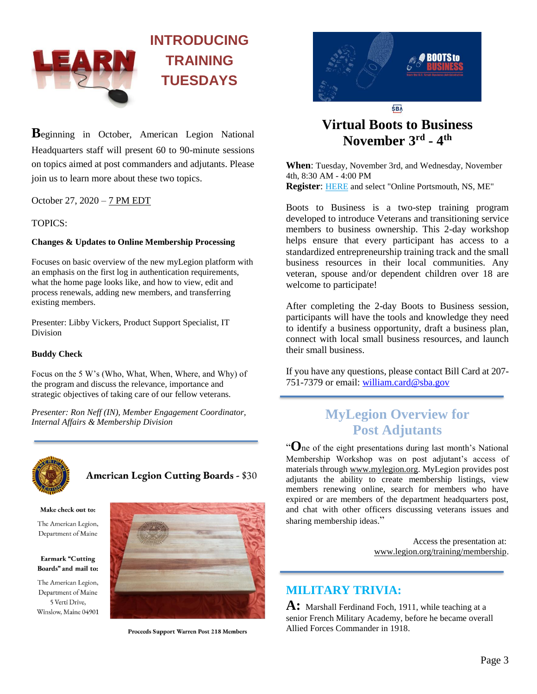

# **INTRODUCING TRAINING TUESDAYS**

**B**eginning in October, American Legion National Headquarters staff will present 60 to 90-minute sessions on topics aimed at post commanders and adjutants. Please join us to learn more about these two topics.

October 27, 2020 – 7 PM EDT

#### TOPICS:

#### **Changes & Updates to Online Membership Processing**

Focuses on basic overview of the new myLegion platform with an emphasis on the first log in authentication requirements, what the home page looks like, and how to view, edit and process renewals, adding new members, and transferring existing members.

Presenter: Libby Vickers, Product Support Specialist, IT Division

#### **Buddy Check**

Focus on the 5 W's (Who, What, When, Where, and Why) of the program and discuss the relevance, importance and strategic objectives of taking care of our fellow veterans.

*Presenter: Ron Neff (IN), Member Engagement Coordinator, Internal Affairs & Membership Division*



**American Legion Cutting Boards - \$30** 

#### Make check out to:

The American Legion, Department of Maine

#### Earmark "Cutting Boards" and mail to:

The American Legion, Department of Maine 5 Verti Drive, Winslow, Maine 04901



Proceeds Support Warren Post 218 Members



## **Virtual Boots to Business November 3rd - 4 th**

**When**: Tuesday, November 3rd, and Wednesday, November 4th, 8:30 AM - 4:00 PM **Register**: [HERE](https://gcc01.safelinks.protection.outlook.com/?url=https%3A%2F%2Fsbavets.force.com%2Fs%2F%3Futm_medium%3Demail%26utm_source%3Dgovdelivery&data=04%7C01%7Cwilliam.card%40sba.gov%7C3f8afbf0531e4d7347ef08d871f527e6%7C3c89fd8a7f684667aa1541ebf2208961%7C1%7C0%7C637384645569456074%7CUnknown%7CTWFpbGZsb3d8eyJWIjoiMC4wLjAwMDAiLCJQIjoiV2luMzIiLCJBTiI6Ik1haWwiLCJXVCI6Mn0%3D%7C1000&sdata=RpET810XKrLbrFEaycLPdcVV1n3B5RpB1fxf2G6kNnE%3D&reserved=0) and select "Online Portsmouth, NS, ME"

Boots to Business is a two-step training program developed to introduce Veterans and transitioning service members to business ownership. This 2-day workshop helps ensure that every participant has access to a standardized entrepreneurship training track and the small business resources in their local communities. Any veteran, spouse and/or dependent children over 18 are welcome to participate!

After completing the 2-day Boots to Business session, participants will have the tools and knowledge they need to identify a business opportunity, draft a business plan, connect with local small business resources, and launch their small business.

If you have any questions, please contact Bill Card at 207- 751-7379 or email: [william.card@sba.gov](mailto:william.card@sba.gov)

#### **MyLegion Overview for Post Adjutants**

"**O**ne of the eight presentations during last month's National Membership Workshop was on post adjutant's access of materials through [www.mylegion.org.](http://www.mylegion.org/) MyLegion provides post adjutants the ability to create membership listings, view members renewing online, search for members who have expired or are members of the department headquarters post, and chat with other officers discussing veterans issues and sharing membership ideas."

> Access the presentation at: [www.legion.org/training/membership.](http://www.legion.org/training/membership)

#### **MILITARY TRIVIA:**

**A:** Marshall Ferdinand Foch, 1911, while teaching at a senior French Military Academy, before he became overall Allied Forces Commander in 1918.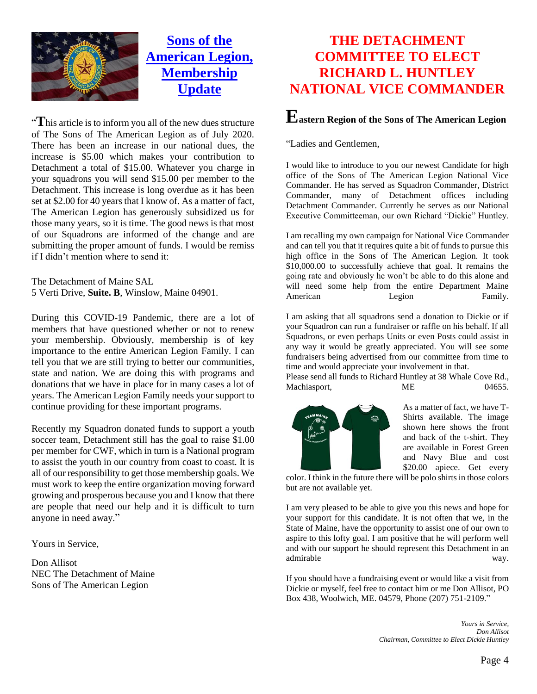

**[Sons of the](https://www.legion.org/sons)  [American Legion,](https://www.legion.org/sons)  [Membership](https://www.legion.org/sons)  [Update](https://www.legion.org/sons)**

"**T**his article is to inform you all of the new dues structure of The Sons of The American Legion as of July 2020. There has been an increase in our national dues, the increase is \$5.00 which makes your contribution to Detachment a total of \$15.00. Whatever you charge in your squadrons you will send \$15.00 per member to the Detachment. This increase is long overdue as it has been set at \$2.00 for 40 years that I know of. As a matter of fact, The American Legion has generously subsidized us for those many years, so it is time. The good news is that most of our Squadrons are informed of the change and are submitting the proper amount of funds. I would be remiss if I didn't mention where to send it:

The Detachment of Maine SAL 5 Verti Drive, **Suite. B**, Winslow, Maine 04901.

During this COVID-19 Pandemic, there are a lot of members that have questioned whether or not to renew your membership. Obviously, membership is of key importance to the entire American Legion Family. I can tell you that we are still trying to better our communities, state and nation. We are doing this with programs and donations that we have in place for in many cases a lot of years. The American Legion Family needs your support to continue providing for these important programs.

Recently my Squadron donated funds to support a youth soccer team, Detachment still has the goal to raise \$1.00 per member for CWF, which in turn is a National program to assist the youth in our country from coast to coast. It is all of our responsibility to get those membership goals. We must work to keep the entire organization moving forward growing and prosperous because you and I know that there are people that need our help and it is difficult to turn anyone in need away."

Yours in Service,

Don Allisot NEC The Detachment of Maine Sons of The American Legion

#### **THE DETACHMENT COMMITTEE TO ELECT RICHARD L. HUNTLEY NATIONAL VICE COMMANDER**

## **Eastern Region of the Sons of The American Legion**

"Ladies and Gentlemen,

I would like to introduce to you our newest Candidate for high office of the Sons of The American Legion National Vice Commander. He has served as Squadron Commander, District Commander, many of Detachment offices including Detachment Commander. Currently he serves as our National Executive Committeeman, our own Richard "Dickie" Huntley.

I am recalling my own campaign for National Vice Commander and can tell you that it requires quite a bit of funds to pursue this high office in the Sons of The American Legion. It took \$10,000.00 to successfully achieve that goal. It remains the going rate and obviously he won't be able to do this alone and will need some help from the entire Department Maine American Legion Family.

I am asking that all squadrons send a donation to Dickie or if your Squadron can run a fundraiser or raffle on his behalf. If all Squadrons, or even perhaps Units or even Posts could assist in any way it would be greatly appreciated. You will see some fundraisers being advertised from our committee from time to time and would appreciate your involvement in that.

Please send all funds to Richard Huntley at 38 Whale Cove Rd., Machiasport, ME 04655.



As a matter of fact, we have T-Shirts available. The image shown here shows the front and back of the t-shirt. They are available in Forest Green and Navy Blue and cost \$20.00 apiece. Get every

color. I think in the future there will be polo shirts in those colors but are not available yet.

I am very pleased to be able to give you this news and hope for your support for this candidate. It is not often that we, in the State of Maine, have the opportunity to assist one of our own to aspire to this lofty goal. I am positive that he will perform well and with our support he should represent this Detachment in an admirable way.

If you should have a fundraising event or would like a visit from Dickie or myself, feel free to contact him or me Don Allisot, PO Box 438, Woolwich, ME. 04579, Phone (207) 751-2109."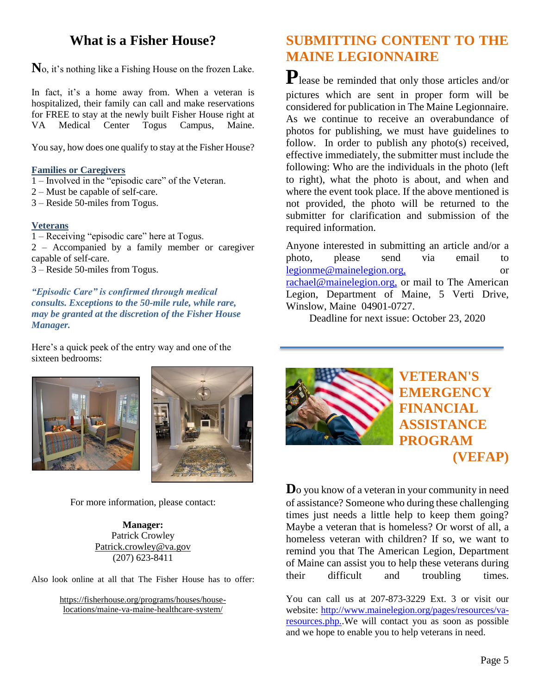#### **What is a Fisher House?**

**N**o, it's nothing like a Fishing House on the frozen Lake.

In fact, it's a home away from. When a veteran is hospitalized, their family can call and make reservations for FREE to stay at the newly built Fisher House right at VA Medical Center Togus Campus, Maine.

You say, how does one qualify to stay at the Fisher House?

#### **Families or Caregivers**

- 1 Involved in the "episodic care" of the Veteran.
- 2 Must be capable of self-care.
- 3 Reside 50-miles from Togus.

#### **Veterans**

1 – Receiving "episodic care" here at Togus. 2 – Accompanied by a family member or caregiver capable of self-care.

3 – Reside 50-miles from Togus.

*"Episodic Care" is confirmed through medical consults. Exceptions to the 50-mile rule, while rare, may be granted at the discretion of the Fisher House Manager.*

Here's a quick peek of the entry way and one of the sixteen bedrooms:





For more information, please contact:

**Manager:**  Patrick Crowley [Patrick.crowley@va.gov](mailto:Patrick.crowley@va.gov) (207) 623-8411

Also look online at all that The Fisher House has to offer:

[https://fisherhouse.org/programs/houses/house](https://fisherhouse.org/programs/houses/house-locations/maine-va-maine-healthcare-system/)[locations/maine-va-maine-healthcare-system/](https://fisherhouse.org/programs/houses/house-locations/maine-va-maine-healthcare-system/)

## **SUBMITTING CONTENT TO THE MAINE LEGIONNAIRE**

**P**lease be reminded that only those articles and/or pictures which are sent in proper form will be considered for publication in The Maine Legionnaire. As we continue to receive an overabundance of photos for publishing, we must have guidelines to follow. In order to publish any photo(s) received, effective immediately, the submitter must include the following: Who are the individuals in the photo (left to right), what the photo is about, and when and where the event took place. If the above mentioned is not provided, the photo will be returned to the submitter for clarification and submission of the required information.

Anyone interested in submitting an article and/or a photo, please send via email to [legionme@mainelegion.org,](mailto:legionme@mainelegion.org) or [rachael@mainelegion.org,](mailto:rachael@mainelegion.org) or mail to The American Legion, Department of Maine, 5 Verti Drive, Winslow, Maine 04901-0727.

Deadline for next issue: October 23, 2020



**VETERAN'S EMERGENCY FINANCIAL ASSISTANCE PROGRAM (VEFAP)**

**D**o you know of a veteran in your community in need of assistance? Someone who during these challenging times just needs a little help to keep them going? Maybe a veteran that is homeless? Or worst of all, a homeless veteran with children? If so, we want to remind you that The American Legion, Department of Maine can assist you to help these veterans during their difficult and troubling times.

You can call us at 207-873-3229 Ext. 3 or visit our website: [http://www.mainelegion.org/pages/resources/va](http://www.mainelegion.org/pages/resources/va-resources.php.)[resources.php..](http://www.mainelegion.org/pages/resources/va-resources.php.)We will contact you as soon as possible and we hope to enable you to help veterans in need.